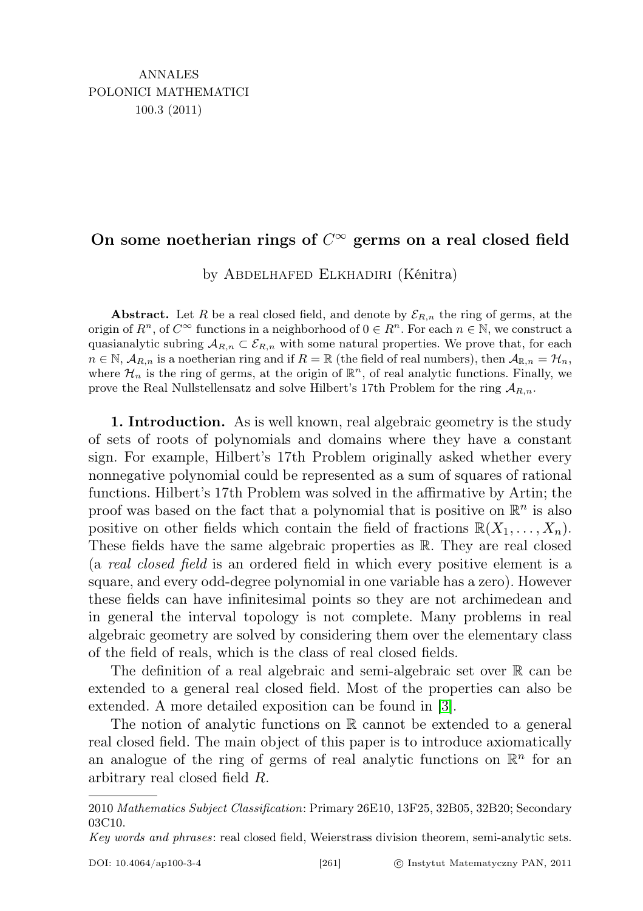# On some noetherian rings of  $C^{\infty}$  germs on a real closed field

by Abdelhafed Elkhadiri (Kénitra)

Abstract. Let R be a real closed field, and denote by  $\mathcal{E}_{R,n}$  the ring of germs, at the origin of  $R^n$ , of  $C^{\infty}$  functions in a neighborhood of  $0 \in R^n$ . For each  $n \in \mathbb{N}$ , we construct a quasianalytic subring  $A_{R,n} \subset \mathcal{E}_{R,n}$  with some natural properties. We prove that, for each  $n \in \mathbb{N}$ ,  $\mathcal{A}_{R,n}$  is a noetherian ring and if  $R = \mathbb{R}$  (the field of real numbers), then  $\mathcal{A}_{\mathbb{R},n} = \mathcal{H}_n$ , where  $\mathcal{H}_n$  is the ring of germs, at the origin of  $\mathbb{R}^n$ , of real analytic functions. Finally, we prove the Real Nullstellensatz and solve Hilbert's 17th Problem for the ring  $\mathcal{A}_{R,n}$ .

1. Introduction. As is well known, real algebraic geometry is the study of sets of roots of polynomials and domains where they have a constant sign. For example, Hilbert's 17th Problem originally asked whether every nonnegative polynomial could be represented as a sum of squares of rational functions. Hilbert's 17th Problem was solved in the affirmative by Artin; the proof was based on the fact that a polynomial that is positive on  $\mathbb{R}^n$  is also positive on other fields which contain the field of fractions  $\mathbb{R}(X_1, \ldots, X_n)$ . These fields have the same algebraic properties as R. They are real closed (a real closed field is an ordered field in which every positive element is a square, and every odd-degree polynomial in one variable has a zero). However these fields can have infinitesimal points so they are not archimedean and in general the interval topology is not complete. Many problems in real algebraic geometry are solved by considering them over the elementary class of the field of reals, which is the class of real closed fields.

The definition of a real algebraic and semi-algebraic set over  $\mathbb R$  can be extended to a general real closed field. Most of the properties can also be extended. A more detailed exposition can be found in [\[3\]](#page-14-0).

The notion of analytic functions on R cannot be extended to a general real closed field. The main object of this paper is to introduce axiomatically an analogue of the ring of germs of real analytic functions on  $\mathbb{R}^n$  for an arbitrary real closed field R.

<sup>2010</sup> Mathematics Subject Classification: Primary 26E10, 13F25, 32B05, 32B20; Secondary 03C10.

Key words and phrases: real closed field, Weierstrass division theorem, semi-analytic sets.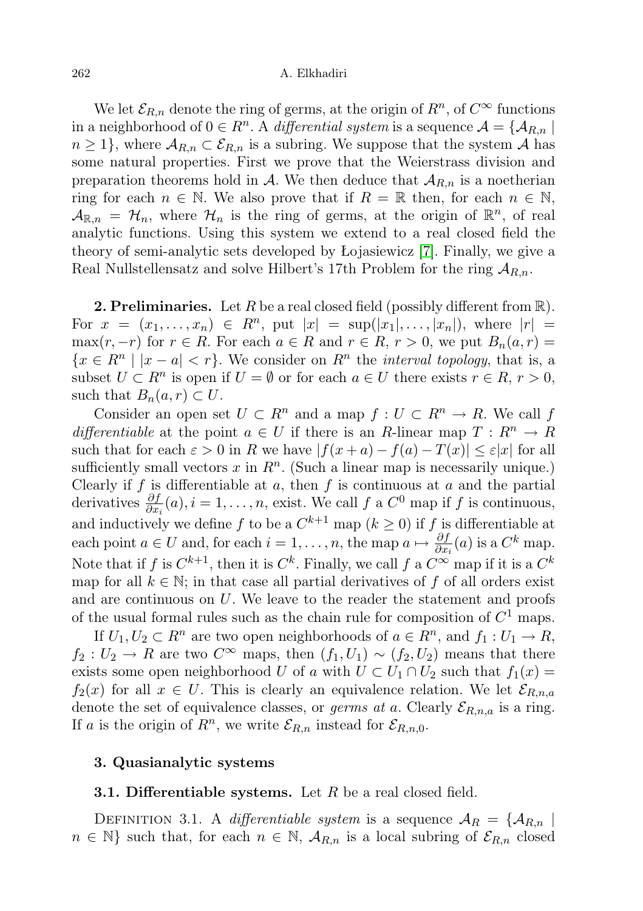#### 262 A. Elkhadiri

We let  $\mathcal{E}_{R,n}$  denote the ring of germs, at the origin of  $R^n$ , of  $C^{\infty}$  functions in a neighborhood of  $0 \in R^n$ . A *differential system* is a sequence  $\mathcal{A} = \{ \mathcal{A}_{R,n} \mid n \in \mathbb{N} \}$  $n \geq 1$ , where  $\mathcal{A}_{R,n} \subset \mathcal{E}_{R,n}$  is a subring. We suppose that the system A has some natural properties. First we prove that the Weierstrass division and preparation theorems hold in A. We then deduce that  $A_{R,n}$  is a noetherian ring for each  $n \in \mathbb{N}$ . We also prove that if  $R = \mathbb{R}$  then, for each  $n \in \mathbb{N}$ ,  $\mathcal{A}_{\mathbb{R},n} = \mathcal{H}_n$ , where  $\mathcal{H}_n$  is the ring of germs, at the origin of  $\mathbb{R}^n$ , of real analytic functions. Using this system we extend to a real closed field the theory of semi-analytic sets developed by Łojasiewicz [\[7\]](#page-14-1). Finally, we give a Real Nullstellensatz and solve Hilbert's 17th Problem for the ring  $A_{R,n}$ .

**2. Preliminaries.** Let R be a real closed field (possibly different from  $\mathbb{R}$ ). For  $x = (x_1, ..., x_n) \in R^n$ , put  $|x| = \sup(|x_1|, ..., |x_n|)$ , where  $|r| =$ max $(r, -r)$  for  $r \in R$ . For each  $a \in R$  and  $r \in R$ ,  $r > 0$ , we put  $B_n(a, r) =$  ${x \in R^n \mid |x - a| < r}$ . We consider on  $R^n$  the *interval topology*, that is, a subset  $U \subset R^n$  is open if  $U = \emptyset$  or for each  $a \in U$  there exists  $r \in R$ ,  $r > 0$ , such that  $B_n(a, r) \subset U$ .

Consider an open set  $U \subset R^n$  and a map  $f : U \subset R^n \to R$ . We call f differentiable at the point  $a \in U$  if there is an R-linear map  $T: R^n \to R$ such that for each  $\varepsilon > 0$  in R we have  $|f(x+a) - f(a) - T(x)| \leq \varepsilon |x|$  for all sufficiently small vectors  $x$  in  $R<sup>n</sup>$ . (Such a linear map is necessarily unique.) Clearly if  $f$  is differentiable at  $a$ , then  $f$  is continuous at  $a$  and the partial derivatives  $\frac{\partial f}{\partial x_i}(a), i = 1, \ldots, n$ , exist. We call f a  $C^0$  map if f is continuous, and inductively we define f to be a  $C^{k+1}$  map  $(k \ge 0)$  if f is differentiable at each point  $a \in U$  and, for each  $i = 1, \ldots, n$ , the map  $a \mapsto \frac{\partial f}{\partial x_i}(a)$  is a  $C^k$  map. Note that if f is  $C^{k+1}$ , then it is  $C^k$ . Finally, we call f a  $C^{\infty}$  map if it is a  $C^k$ map for all  $k \in \mathbb{N}$ ; in that case all partial derivatives of f of all orders exist and are continuous on  $U$ . We leave to the reader the statement and proofs of the usual formal rules such as the chain rule for composition of  $C^1$  maps.

If  $U_1, U_2 \subset \mathbb{R}^n$  are two open neighborhoods of  $a \in \mathbb{R}^n$ , and  $f_1 : U_1 \to \mathbb{R}$ ,  $f_2: U_2 \to R$  are two  $C^{\infty}$  maps, then  $(f_1, U_1) \sim (f_2, U_2)$  means that there exists some open neighborhood U of a with  $U \subset U_1 \cap U_2$  such that  $f_1(x) =$  $f_2(x)$  for all  $x \in U$ . This is clearly an equivalence relation. We let  $\mathcal{E}_{R,n,a}$ denote the set of equivalence classes, or *germs at a*. Clearly  $\mathcal{E}_{R,n,a}$  is a ring. If a is the origin of  $R^n$ , we write  $\mathcal{E}_{R,n}$  instead for  $\mathcal{E}_{R,n,0}$ .

## 3. Quasianalytic systems

### **3.1. Differentiable systems.** Let  $R$  be a real closed field.

DEFINITION 3.1. A differentiable system is a sequence  $A_R = \{A_{R,n}\}$  $n \in \mathbb{N}$  such that, for each  $n \in \mathbb{N}$ ,  $\mathcal{A}_{R,n}$  is a local subring of  $\mathcal{E}_{R,n}$  closed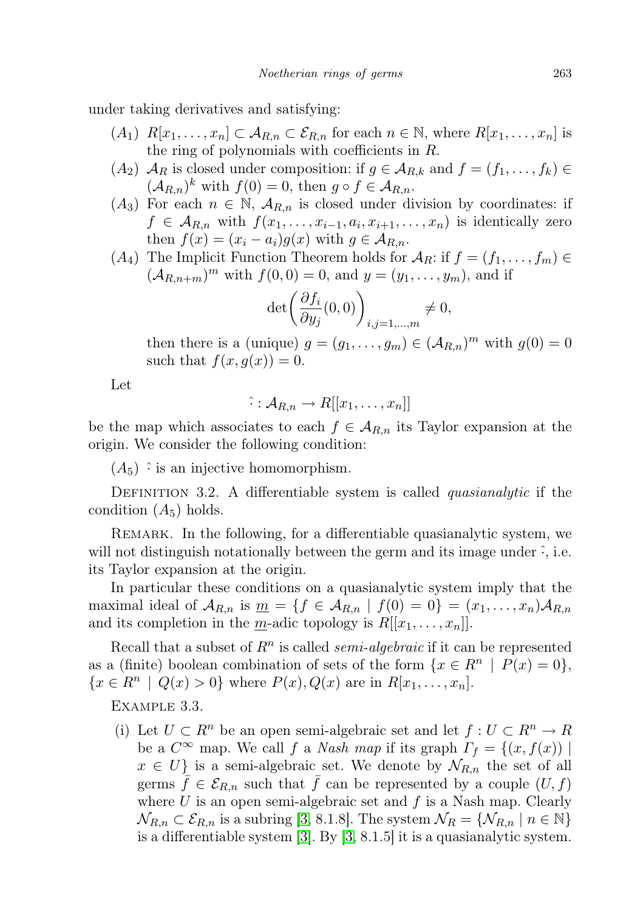under taking derivatives and satisfying:

- $(A_1)$   $R[x_1, \ldots, x_n] \subset A_{R,n} \subset \mathcal{E}_{R,n}$  for each  $n \in \mathbb{N}$ , where  $R[x_1, \ldots, x_n]$  is the ring of polynomials with coefficients in R.
- $(A_2)$   $\mathcal{A}_R$  is closed under composition: if  $g \in \mathcal{A}_{R,k}$  and  $f = (f_1, \ldots, f_k) \in$  $(\mathcal{A}_{R,n})^k$  with  $f(0) = 0$ , then  $g \circ f \in \mathcal{A}_{R,n}$ .
- $(A_3)$  For each  $n \in \mathbb{N}$ ,  $\mathcal{A}_{R,n}$  is closed under division by coordinates: if  $f \in \mathcal{A}_{R,n}$  with  $f(x_1,\ldots,x_{i-1},a_i,x_{i+1},\ldots,x_n)$  is identically zero then  $f(x) = (x_i - a_i)g(x)$  with  $g \in A_{R,n}$ .
- $(A_4)$  The Implicit Function Theorem holds for  $A_R$ : if  $f = (f_1, \ldots, f_m) \in$  $(A_{R,n+m})^m$  with  $f(0, 0) = 0$ , and  $y = (y_1, \ldots, y_m)$ , and if

$$
\det\left(\frac{\partial f_i}{\partial y_j}(0,0)\right)_{i,j=1,\dots,m} \neq 0,
$$

then there is a (unique)  $g = (g_1, \ldots, g_m) \in (\mathcal{A}_{R,n})^m$  with  $g(0) = 0$ such that  $f(x, g(x)) = 0$ .

Let

$$
\hat{\cdot} : \mathcal{A}_{R,n} \to R[[x_1, \ldots, x_n]]
$$

be the map which associates to each  $f \in A_{R,n}$  its Taylor expansion at the origin. We consider the following condition:

 $(A_5)$   $\hat{\cdot}$  is an injective homomorphism.

DEFINITION 3.2. A differentiable system is called *quasianalytic* if the condition  $(A_5)$  holds.

REMARK. In the following, for a differentiable quasianalytic system, we will not distinguish notationally between the germ and its image under  $\hat{\cdot}$ , i.e. its Taylor expansion at the origin.

In particular these conditions on a quasianalytic system imply that the maximal ideal of  $\mathcal{A}_{R,n}$  is  $\underline{m} = \{f \in \mathcal{A}_{R,n} \mid f(0) = 0\} = (x_1, \ldots, x_n) \mathcal{A}_{R,n}$ and its completion in the *m*-adic topology is  $R[[x_1, \ldots, x_n]]$ .

Recall that a subset of  $R^n$  is called *semi-algebraic* if it can be represented as a (finite) boolean combination of sets of the form  $\{x \in \mathbb{R}^n \mid P(x) = 0\},\$  ${x \in R^n \mid Q(x) > 0}$  where  $P(x), Q(x)$  are in  $R[x_1, ..., x_n]$ .

Example 3.3.

(i) Let  $U \subset R^n$  be an open semi-algebraic set and let  $f: U \subset R^n \to R$ be a  $C^{\infty}$  map. We call f a *Nash map* if its graph  $\Gamma_f = \{(x, f(x)) \mid$  $x \in U$  is a semi-algebraic set. We denote by  $\mathcal{N}_{R,n}$  the set of all germs  $\bar{f} \in \mathcal{E}_{R,n}$  such that  $\bar{f}$  can be represented by a couple  $(U, f)$ where  $U$  is an open semi-algebraic set and  $f$  is a Nash map. Clearly  $\mathcal{N}_{R,n} \subset \mathcal{E}_{R,n}$  is a subring [\[3,](#page-14-0) 8.1.8]. The system  $\mathcal{N}_R = \{ \mathcal{N}_{R,n} \mid n \in \mathbb{N} \}$ is a differentiable system [\[3\]](#page-14-0). By [\[3,](#page-14-0) 8.1.5] it is a quasianalytic system.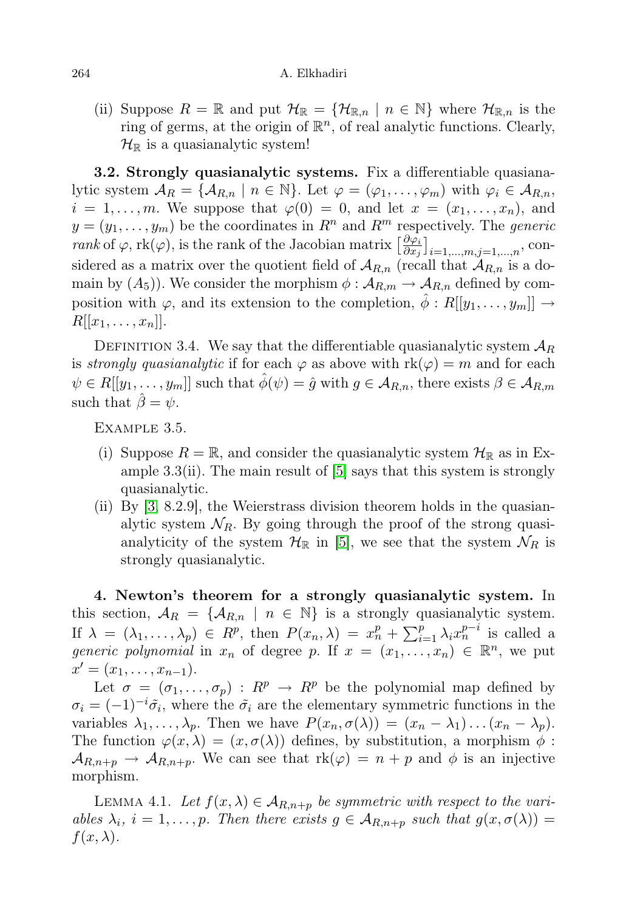#### 264 A. Elkhadiri

(ii) Suppose  $R = \mathbb{R}$  and put  $\mathcal{H}_{\mathbb{R}} = {\mathcal{H}_{\mathbb{R},n} \mid n \in \mathbb{N}}$  where  $\mathcal{H}_{\mathbb{R},n}$  is the ring of germs, at the origin of  $\mathbb{R}^n$ , of real analytic functions. Clearly,  $\mathcal{H}_{\mathbb{R}}$  is a quasianalytic system!

3.2. Strongly quasianalytic systems. Fix a differentiable quasianalytic system  $A_R = \{A_{R,n} \mid n \in \mathbb{N}\}\.$  Let  $\varphi = (\varphi_1, \ldots, \varphi_m)$  with  $\varphi_i \in A_{R,n}$ ,  $i = 1, \ldots, m$ . We suppose that  $\varphi(0) = 0$ , and let  $x = (x_1, \ldots, x_n)$ , and  $y = (y_1, \ldots, y_m)$  be the coordinates in  $R^n$  and  $R^m$  respectively. The *generic* rank of  $\varphi$ , rk $(\varphi)$ , is the rank of the Jacobian matrix  $\left[\frac{\partial \varphi_i}{\partial x_i}\right]$  $\left[\frac{\partial\varphi_{i}}{\partial x_{j}}\right]_{i=1,...,m,j=1,...,n},$  considered as a matrix over the quotient field of  $\mathcal{A}_{R,n}$  (recall that  $\mathcal{A}_{R,n}$  is a domain by  $(A_5)$ . We consider the morphism  $\phi : A_{R,m} \to A_{R,n}$  defined by composition with  $\varphi$ , and its extension to the completion,  $\ddot{\phi}: R[[y_1, \ldots, y_m]] \rightarrow$  $R[[x_1, \ldots, x_n]].$ 

DEFINITION 3.4. We say that the differentiable quasianalytic system  $\mathcal{A}_R$ is strongly quasianalytic if for each  $\varphi$  as above with  $rk(\varphi) = m$  and for each  $\psi \in R[[y_1,\ldots,y_m]]$  such that  $\phi(\psi) = \hat{g}$  with  $g \in A_{R,n}$ , there exists  $\beta \in A_{R,m}$ such that  $\ddot{\beta} = \psi$ .

Example 3.5.

- (i) Suppose  $R = \mathbb{R}$ , and consider the quasianalytic system  $\mathcal{H}_{\mathbb{R}}$  as in Example  $3.3$ (ii). The main result of  $[5]$  says that this system is strongly quasianalytic.
- (ii) By [\[3,](#page-14-0) 8.2.9], the Weierstrass division theorem holds in the quasianalytic system  $\mathcal{N}_R$ . By going through the proof of the strong quasianalyticity of the system  $\mathcal{H}_{\mathbb{R}}$  in [\[5\]](#page-14-2), we see that the system  $\mathcal{N}_R$  is strongly quasianalytic.

4. Newton's theorem for a strongly quasianalytic system. In this section,  $A_R = \{A_{R,n} \mid n \in \mathbb{N}\}\$ is a strongly quasianalytic system. If  $\lambda = (\lambda_1, \ldots, \lambda_p) \in R^p$ , then  $P(x_n, \lambda) = x_n^p + \sum_{i=1}^p \lambda_i x_n^{p-i}$  is called a generic polynomial in  $x_n$  of degree p. If  $x = (x_1, \ldots, x_n) \in \mathbb{R}^n$ , we put  $x' = (x_1, \ldots, x_{n-1}).$ 

Let  $\sigma = (\sigma_1, \ldots, \sigma_p) : R^p \to R^p$  be the polynomial map defined by  $\sigma_i = (-1)^{-i} \tilde{\sigma_i}$ , where the  $\tilde{\sigma_i}$  are the elementary symmetric functions in the variables  $\lambda_1, \ldots, \lambda_p$ . Then we have  $P(x_n, \sigma(\lambda)) = (x_n - \lambda_1) \ldots (x_n - \lambda_p)$ . The function  $\varphi(x,\lambda) = (x,\sigma(\lambda))$  defines, by substitution, a morphism  $\phi$ :  $\mathcal{A}_{R,n+p} \to \mathcal{A}_{R,n+p}$ . We can see that  $\text{rk}(\varphi) = n+p$  and  $\phi$  is an injective morphism.

LEMMA 4.1. Let  $f(x, \lambda) \in A_{R,n+p}$  be symmetric with respect to the variables  $\lambda_i$ ,  $i = 1, \ldots, p$ . Then there exists  $g \in A_{R,n+p}$  such that  $g(x, \sigma(\lambda)) =$  $f(x, \lambda)$ .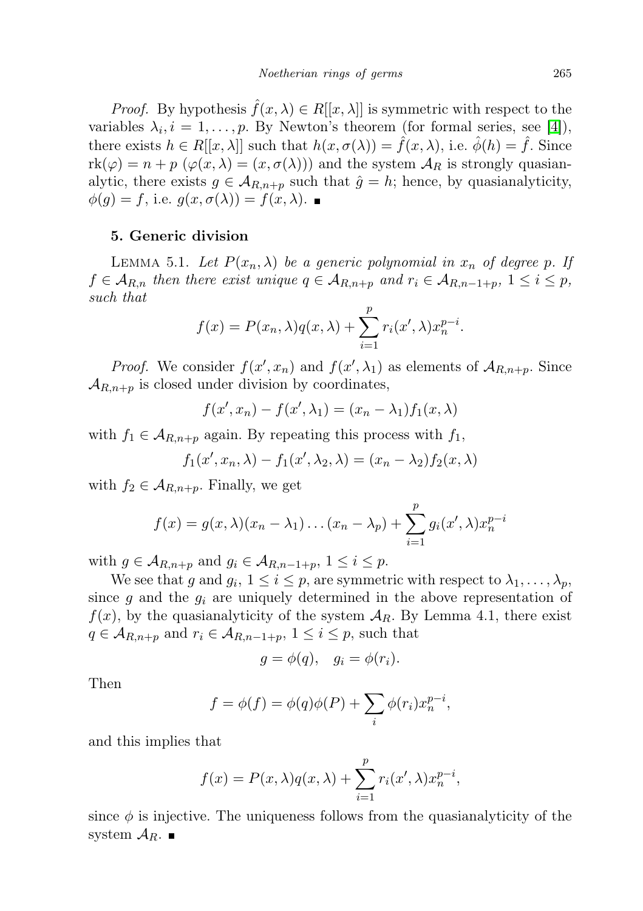*Proof.* By hypothesis  $\hat{f}(x, \lambda) \in R[[x, \lambda]]$  is symmetric with respect to the variables  $\lambda_i, i = 1, \ldots, p$ . By Newton's theorem (for formal series, see [\[4\]](#page-14-3)), there exists  $h \in R[[x, \lambda]]$  such that  $h(x, \sigma(\lambda)) = \hat{f}(x, \lambda)$ , i.e.  $\hat{\phi}(h) = \hat{f}$ . Since  $rk(\varphi) = n + p \left( \varphi(x, \lambda) = (x, \sigma(\lambda)) \right)$  and the system  $\mathcal{A}_R$  is strongly quasianalytic, there exists  $g \in A_{R,n+p}$  such that  $\hat{g} = h$ ; hence, by quasianalyticity,  $\phi(g) = f$ , i.e.  $g(x, \sigma(\lambda)) = f(x, \lambda)$ .

### 5. Generic division

LEMMA 5.1. Let  $P(x_n, \lambda)$  be a generic polynomial in  $x_n$  of degree p. If  $f \in A_{R,n}$  then there exist unique  $q \in A_{R,n+p}$  and  $r_i \in A_{R,n-1+p}$ ,  $1 \leq i \leq p$ , such that

$$
f(x) = P(x_n, \lambda)q(x, \lambda) + \sum_{i=1}^p r_i(x', \lambda)x_n^{p-i}.
$$

*Proof.* We consider  $f(x', x_n)$  and  $f(x', \lambda_1)$  as elements of  $\mathcal{A}_{R,n+p}$ . Since  $\mathcal{A}_{R,n+p}$  is closed under division by coordinates,

$$
f(x', x_n) - f(x', \lambda_1) = (x_n - \lambda_1) f_1(x, \lambda)
$$

with  $f_1 \in \mathcal{A}_{R,n+p}$  again. By repeating this process with  $f_1$ ,

 $f_1(x', x_n, \lambda) - f_1(x', \lambda_2, \lambda) = (x_n - \lambda_2) f_2(x, \lambda)$ 

with  $f_2 \in \mathcal{A}_{R,n+p}$ . Finally, we get

$$
f(x) = g(x, \lambda)(x_n - \lambda_1) \dots (x_n - \lambda_p) + \sum_{i=1}^p g_i(x', \lambda) x_n^{p-i}
$$

with  $g \in A_{R,n+p}$  and  $g_i \in A_{R,n-1+p}$ ,  $1 \leq i \leq p$ .

We see that g and  $g_i$ ,  $1 \leq i \leq p$ , are symmetric with respect to  $\lambda_1, \ldots, \lambda_p$ , since g and the  $g_i$  are uniquely determined in the above representation of  $f(x)$ , by the quasianalyticity of the system  $A_R$ . By Lemma 4.1, there exist  $q \in \mathcal{A}_{R,n+p}$  and  $r_i \in \mathcal{A}_{R,n-1+p}, 1 \leq i \leq p$ , such that

$$
g = \phi(q), \quad g_i = \phi(r_i).
$$

Then

$$
f = \phi(f) = \phi(q)\phi(P) + \sum_{i} \phi(r_i)x_n^{p-i},
$$

and this implies that

$$
f(x) = P(x, \lambda)q(x, \lambda) + \sum_{i=1}^{p} r_i(x', \lambda)x_n^{p-i},
$$

since  $\phi$  is injective. The uniqueness follows from the quasianalyticity of the system  $\mathcal{A}_R$ .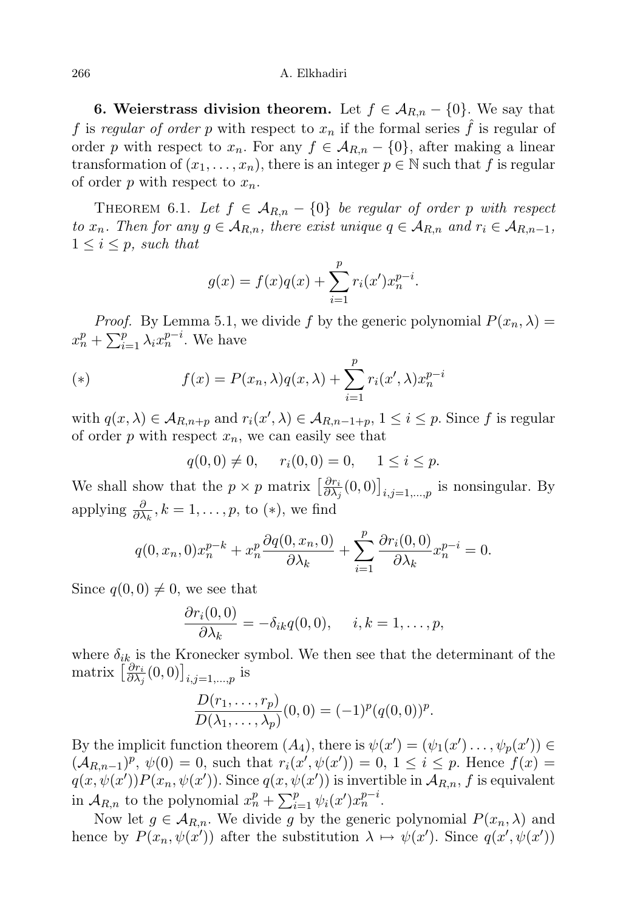266 A. Elkhadiri

6. Weierstrass division theorem. Let  $f \in A_{R,n} - \{0\}$ . We say that f is regular of order p with respect to  $x_n$  if the formal series  $\hat{f}$  is regular of order p with respect to  $x_n$ . For any  $f \in A_{R,n} - \{0\}$ , after making a linear transformation of  $(x_1, \ldots, x_n)$ , there is an integer  $p \in \mathbb{N}$  such that f is regular of order p with respect to  $x_n$ .

THEOREM 6.1. Let  $f \in A_{R,n} - \{0\}$  be regular of order p with respect to  $x_n$ . Then for any  $g \in A_{R,n}$ , there exist unique  $q \in A_{R,n}$  and  $r_i \in A_{R,n-1}$ ,  $1 \leq i \leq p$ , such that

$$
g(x) = f(x)q(x) + \sum_{i=1}^{p} r_i(x')x_n^{p-i}.
$$

*Proof.* By Lemma 5.1, we divide f by the generic polynomial  $P(x_n, \lambda) =$  $x_n^p + \sum_{i=1}^p \lambda_i x_n^{p-i}$ . We have

(\*) 
$$
f(x) = P(x_n, \lambda)q(x, \lambda) + \sum_{i=1}^p r_i(x', \lambda)x_n^{p-i}
$$

with  $q(x, \lambda) \in A_{R,n+p}$  and  $r_i(x', \lambda) \in A_{R,n-1+p}, 1 \leq i \leq p$ . Since f is regular of order  $p$  with respect  $x_n$ , we can easily see that

$$
q(0,0) \neq 0
$$
,  $r_i(0,0) = 0$ ,  $1 \leq i \leq p$ .

We shall show that the  $p \times p$  matrix  $\left[\frac{\partial r_i}{\partial \lambda}\right]$  $\frac{\partial r_i}{\partial \lambda_j}(0,0)\big]_{i,j=1,\dots,p}$  is nonsingular. By applying  $\frac{\partial}{\partial \lambda_k}, k = 1, \ldots, p$ , to (\*), we find

$$
q(0, x_n, 0)x_n^{p-k} + x_n^p \frac{\partial q(0, x_n, 0)}{\partial \lambda_k} + \sum_{i=1}^p \frac{\partial r_i(0, 0)}{\partial \lambda_k} x_n^{p-i} = 0.
$$

Since  $q(0, 0) \neq 0$ , we see that

$$
\frac{\partial r_i(0,0)}{\partial \lambda_k} = -\delta_{ik}q(0,0), \quad i,k = 1,\ldots,p,
$$

where  $\delta_{ik}$  is the Kronecker symbol. We then see that the determinant of the matrix  $\left[\frac{\partial r_i}{\partial \lambda}\right]$  $\frac{\partial r_i}{\partial \lambda_j}(0,0)\big]_{i,j=1,...,p}$  is

$$
\frac{D(r_1,\ldots,r_p)}{D(\lambda_1,\ldots,\lambda_p)}(0,0)=(-1)^p(q(0,0))^p.
$$

By the implicit function theorem  $(A_4)$ , there is  $\psi(x') = (\psi_1(x') \dots, \psi_p(x')) \in$  $(\mathcal{A}_{R,n-1})^p$ ,  $\psi(0) = 0$ , such that  $r_i(x', \psi(x')) = 0$ ,  $1 \leq i \leq p$ . Hence  $f(x) =$  $q(x,\psi(x'))P(x_n,\psi(x'))$ . Since  $q(x,\psi(x'))$  is invertible in  $\mathcal{A}_{R,n}, f$  is equivalent in  $\mathcal{A}_{R,n}$  to the polynomial  $x_n^p + \sum_{i=1}^p \psi_i(x') x_n^{p-i}$ .

Now let  $g \in A_{R,n}$ . We divide g by the generic polynomial  $P(x_n, \lambda)$  and hence by  $P(x_n, \psi(x'))$  after the substitution  $\lambda \mapsto \psi(x')$ . Since  $q(x', \psi(x'))$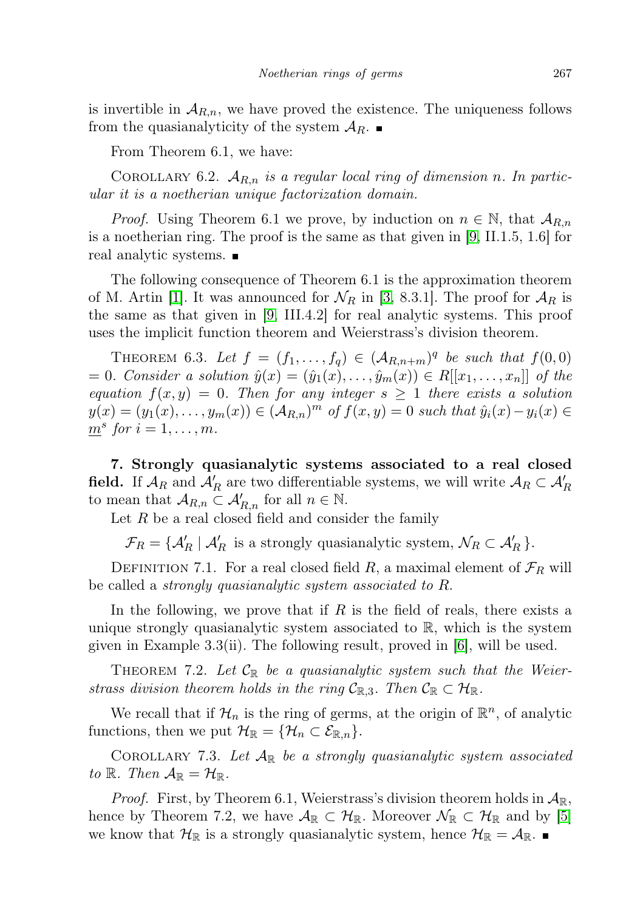is invertible in  $A_{R,n}$ , we have proved the existence. The uniqueness follows from the quasianalyticity of the system  $A_R$ .

From Theorem 6.1, we have:

COROLLARY 6.2.  $A_{R,n}$  is a regular local ring of dimension n. In particular it is a noetherian unique factorization domain.

*Proof.* Using Theorem 6.1 we prove, by induction on  $n \in \mathbb{N}$ , that  $\mathcal{A}_{R,n}$ is a noetherian ring. The proof is the same as that given in [\[9,](#page-14-4) II.1.5, 1.6] for real analytic systems.

The following consequence of Theorem 6.1 is the approximation theorem of M. Artin [\[1\]](#page-14-5). It was announced for  $\mathcal{N}_R$  in [\[3,](#page-14-0) 8.3.1]. The proof for  $\mathcal{A}_R$  is the same as that given in [\[9,](#page-14-4) III.4.2] for real analytic systems. This proof uses the implicit function theorem and Weierstrass's division theorem.

THEOREM 6.3. Let  $f = (f_1, \ldots, f_q) \in (A_{R,n+m})^q$  be such that  $f(0,0)$ = 0. Consider a solution  $\hat{y}(x) = (\hat{y}_1(x), \dots, \hat{y}_m(x)) \in R[[x_1, \dots, x_n]]$  of the equation  $f(x, y) = 0$ . Then for any integer  $s \ge 1$  there exists a solution  $y(x) = (y_1(x), \ldots, y_m(x)) \in (A_{R,n})^m$  of  $f(x, y) = 0$  such that  $\hat{y}_i(x) - y_i(x) \in$  $\underline{m}^s$  for  $i = 1, \ldots, m$ .

7. Strongly quasianalytic systems associated to a real closed field. If  $\mathcal{A}_R$  and  $\mathcal{A}'_R$  are two differentiable systems, we will write  $\mathcal{A}_R \subset \mathcal{A}'_R$ to mean that  $\mathcal{A}_{R,n} \subset \mathcal{A}'_{R,n}$  for all  $n \in \mathbb{N}$ .

Let  $R$  be a real closed field and consider the family

 $\mathcal{F}_R = \{ \mathcal{A}'_R \mid \mathcal{A}'_R$  is a strongly quasianalytic system,  $\mathcal{N}_R \subset \mathcal{A}'_R \}.$ 

DEFINITION 7.1. For a real closed field R, a maximal element of  $\mathcal{F}_R$  will be called a strongly quasianalytic system associated to R.

In the following, we prove that if  $R$  is the field of reals, there exists a unique strongly quasianalytic system associated to  $\mathbb{R}$ , which is the system given in Example 3.3(ii). The following result, proved in [\[6\]](#page-14-6), will be used.

THEOREM 7.2. Let  $\mathcal{C}_{\mathbb{R}}$  be a quasianalytic system such that the Weierstrass division theorem holds in the ring  $C_{\mathbb{R},3}$ . Then  $C_{\mathbb{R}} \subset \mathcal{H}_{\mathbb{R}}$ .

We recall that if  $\mathcal{H}_n$  is the ring of germs, at the origin of  $\mathbb{R}^n$ , of analytic functions, then we put  $\mathcal{H}_{\mathbb{R}} = {\mathcal{H}_n \subset \mathcal{E}_{\mathbb{R},n}}.$ 

COROLLARY 7.3. Let  $A_{\mathbb{R}}$  be a strongly quasianalytic system associated to R. Then  $\mathcal{A}_{\mathbb{R}} = \mathcal{H}_{\mathbb{R}}$ .

*Proof.* First, by Theorem 6.1, Weierstrass's division theorem holds in  $\mathcal{A}_{\mathbb{R}}$ , hence by Theorem 7.2, we have  $\mathcal{A}_{\mathbb{R}} \subset \mathcal{H}_{\mathbb{R}}$ . Moreover  $\mathcal{N}_{\mathbb{R}} \subset \mathcal{H}_{\mathbb{R}}$  and by [\[5\]](#page-14-2) we know that  $\mathcal{H}_{\mathbb{R}}$  is a strongly quasianalytic system, hence  $\mathcal{H}_{\mathbb{R}} = \mathcal{A}_{\mathbb{R}}$ .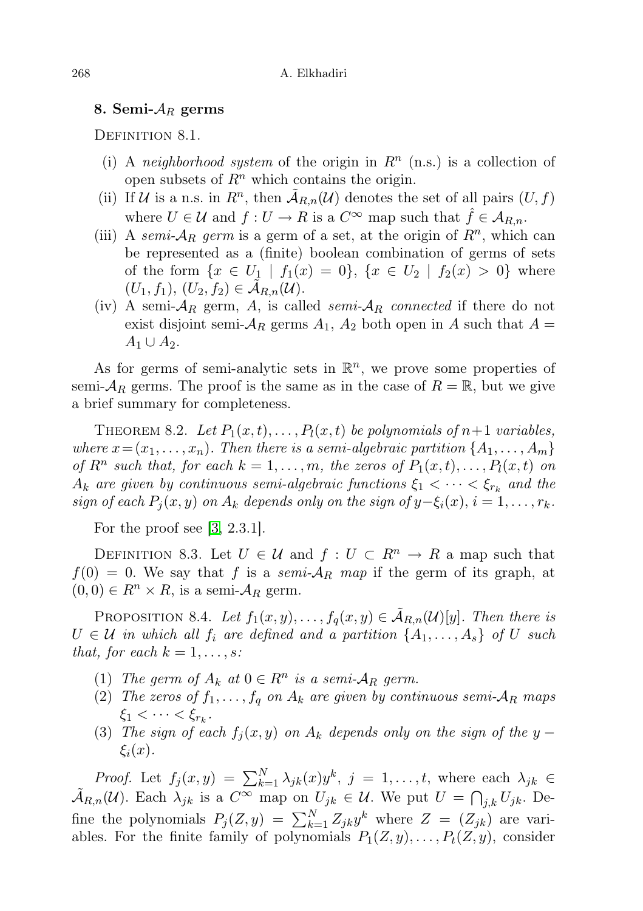### 8. Semi- $A_R$  germs

DEFINITION 8.1.

- (i) A neighborhood system of the origin in  $R<sup>n</sup>$  (n.s.) is a collection of open subsets of  $\mathbb{R}^n$  which contains the origin.
- (ii) If U is a n.s. in  $R^n$ , then  $\tilde{A}_{R,n}(\mathcal{U})$  denotes the set of all pairs  $(U, f)$ where  $U \in \mathcal{U}$  and  $f: U \to R$  is a  $C^{\infty}$  map such that  $\hat{f} \in \mathcal{A}_{R,n}$ .
- (iii) A semi- $A_R$  germ is a germ of a set, at the origin of  $R^n$ , which can be represented as a (finite) boolean combination of germs of sets of the form  $\{x \in U_1 \mid f_1(x) = 0\}, \{x \in U_2 \mid f_2(x) > 0\}$  where  $(U_1, f_1), (U_2, f_2) \in \mathcal{A}_{R,n}(\mathcal{U}).$
- (iv) A semi- $A_R$  germ, A, is called semi- $A_R$  connected if there do not exist disjoint semi- $A_R$  germs  $A_1$ ,  $A_2$  both open in A such that  $A =$  $A_1 \cup A_2$ .

As for germs of semi-analytic sets in  $\mathbb{R}^n$ , we prove some properties of semi- $\mathcal{A}_R$  germs. The proof is the same as in the case of  $R = \mathbb{R}$ , but we give a brief summary for completeness.

THEOREM 8.2. Let  $P_1(x,t), \ldots, P_l(x,t)$  be polynomials of  $n+1$  variables, where  $x = (x_1, \ldots, x_n)$ . Then there is a semi-algebraic partition  $\{A_1, \ldots, A_m\}$ of  $R^n$  such that, for each  $k = 1, \ldots, m$ , the zeros of  $P_1(x, t), \ldots, P_l(x, t)$  on  $A_k$  are given by continuous semi-algebraic functions  $\xi_1 < \cdots < \xi_{r_k}$  and the sign of each  $P_i(x, y)$  on  $A_k$  depends only on the sign of  $y-\xi_i(x)$ ,  $i=1,\ldots,r_k$ .

For the proof see [\[3,](#page-14-0) 2.3.1].

DEFINITION 8.3. Let  $U \in \mathcal{U}$  and  $f: U \subset R^n \to R$  a map such that  $f(0) = 0$ . We say that f is a semi- $A_R$  map if the germ of its graph, at  $(0, 0) \in R^n \times R$ , is a semi- $\mathcal{A}_R$  germ.

PROPOSITION 8.4. Let  $f_1(x, y), \ldots, f_q(x, y) \in \mathcal{A}_{R,n}(\mathcal{U})[y]$ . Then there is  $U \in \mathcal{U}$  in which all  $f_i$  are defined and a partition  $\{A_1, \ldots, A_s\}$  of U such that, for each  $k = 1, \ldots, s$ :

- (1) The germ of  $A_k$  at  $0 \in R^n$  is a semi- $A_R$  germ.
- (2) The zeros of  $f_1, \ldots, f_q$  on  $A_k$  are given by continuous semi- $A_R$  maps  $\xi_1 < \cdots < \xi_{r_k}$ .
- (3) The sign of each  $f_i(x, y)$  on  $A_k$  depends only on the sign of the y  $\xi_i(x)$ .

*Proof.* Let  $f_j(x,y) = \sum_{k=1}^N \lambda_{jk}(x) y^k$ ,  $j = 1, \ldots, t$ , where each  $\lambda_{jk} \in$  $\tilde{\mathcal{A}}_{R,n}(\mathcal{U})$ . Each  $\lambda_{jk}$  is a  $C^{\infty}$  map on  $U_{jk} \in \mathcal{U}$ . We put  $U = \bigcap_{j,k} U_{jk}$ . Define the polynomials  $P_j(Z, y) = \sum_{k=1}^{N} Z_{jk} y^k$  where  $Z = (Z_{jk})$  are variables. For the finite family of polynomials  $P_1(Z, y), \ldots, P_t(Z, y)$ , consider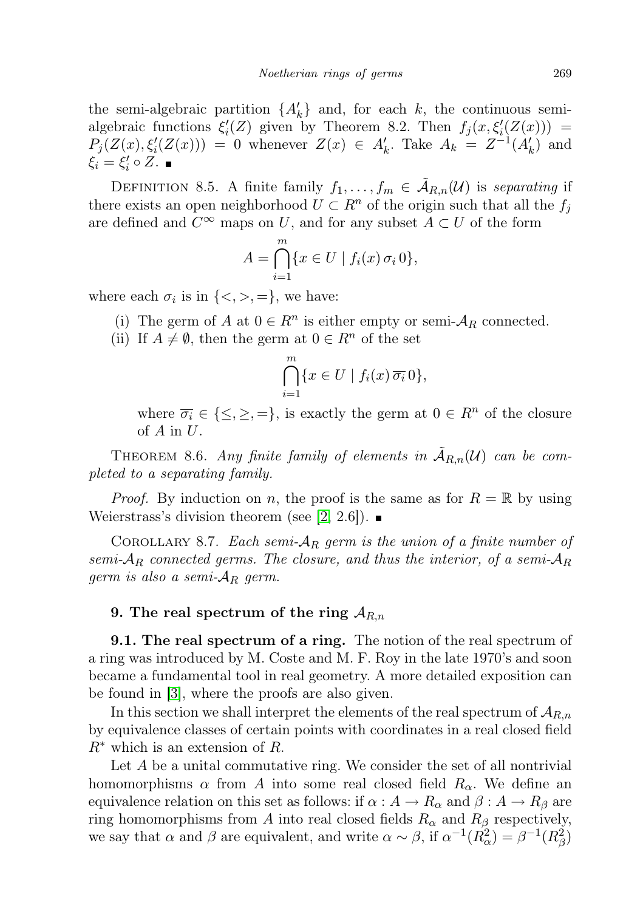the semi-algebraic partition  $\{A'_k\}$  and, for each k, the continuous semialgebraic functions  $\xi_i'(Z)$  given by Theorem 8.2. Then  $f_j(x, \xi_i'(Z(x))) =$  $P_j(Z(x), \xi'_i(Z(x))) = 0$  whenever  $Z(x) \in A'_k$ . Take  $A_k = Z^{-1}(A'_k)$  and  $\xi_i = \xi'_i \circ Z.$ 

DEFINITION 8.5. A finite family  $f_1, \ldots, f_m \in \mathcal{A}_{R,n}(\mathcal{U})$  is separating if there exists an open neighborhood  $U \subset \mathbb{R}^n$  of the origin such that all the  $f_i$ are defined and  $C^{\infty}$  maps on U, and for any subset  $A \subset U$  of the form

$$
A = \bigcap_{i=1}^{m} \{x \in U \mid f_i(x) \,\sigma_i\,0\},\
$$

where each  $\sigma_i$  is in  $\{<,>,=\},$  we have:

- (i) The germ of A at  $0 \in R^n$  is either empty or semi- $A_R$  connected.
- (ii) If  $A \neq \emptyset$ , then the germ at  $0 \in R^n$  of the set

$$
\bigcap_{i=1}^{m} \{x \in U \mid f_i(x) \overline{\sigma_i} \, 0\},\
$$

where  $\overline{\sigma_i} \in \{\leq, \geq, =\},$  is exactly the germ at  $0 \in R^n$  of the closure of  $A$  in  $U$ .

THEOREM 8.6. Any finite family of elements in  $\tilde{A}_{R,n}(\mathcal{U})$  can be completed to a separating family.

*Proof.* By induction on n, the proof is the same as for  $R = \mathbb{R}$  by using Weierstrass's division theorem (see [\[2,](#page-14-7) 2.6]).  $\blacksquare$ 

COROLLARY 8.7. Each semi- $A_R$  germ is the union of a finite number of semi- $A_R$  connected germs. The closure, and thus the interior, of a semi- $A_R$ germ is also a semi- $A_R$  germ.

## 9. The real spectrum of the ring  $A_{R,n}$

9.1. The real spectrum of a ring. The notion of the real spectrum of a ring was introduced by M. Coste and M. F. Roy in the late 1970's and soon became a fundamental tool in real geometry. A more detailed exposition can be found in [\[3\]](#page-14-0), where the proofs are also given.

In this section we shall interpret the elements of the real spectrum of  $A_{R,n}$ by equivalence classes of certain points with coordinates in a real closed field  $R^*$  which is an extension of R.

Let A be a unital commutative ring. We consider the set of all nontrivial homomorphisms  $\alpha$  from A into some real closed field  $R_{\alpha}$ . We define an equivalence relation on this set as follows: if  $\alpha : A \to R_\alpha$  and  $\beta : A \to R_\beta$  are ring homomorphisms from A into real closed fields  $R_{\alpha}$  and  $R_{\beta}$  respectively, we say that  $\alpha$  and  $\beta$  are equivalent, and write  $\alpha \sim \beta$ , if  $\alpha^{-1}(R_{\alpha}^2) = \beta^{-1}(R_{\beta}^2)$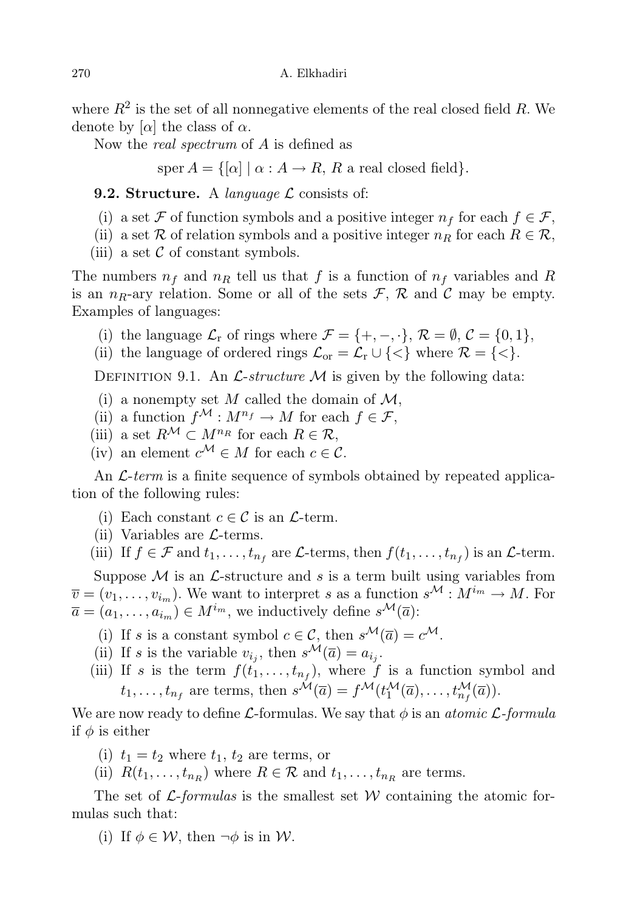where  $R^2$  is the set of all nonnegative elements of the real closed field R. We denote by  $[\alpha]$  the class of  $\alpha$ .

Now the real spectrum of A is defined as

sper  $A = \{[\alpha] \mid \alpha : A \rightarrow R, R \text{ a real closed field}\}.$ 

**9.2. Structure.** A *language*  $\mathcal{L}$  consists of:

- (i) a set F of function symbols and a positive integer  $n_f$  for each  $f \in \mathcal{F}$ ,
- (ii) a set R of relation symbols and a positive integer  $n_R$  for each  $R \in \mathcal{R}$ ,
- (iii) a set  $\mathcal C$  of constant symbols.

The numbers  $n_f$  and  $n_R$  tell us that f is a function of  $n_f$  variables and R is an  $n_R$ -ary relation. Some or all of the sets  $\mathcal{F}, \mathcal{R}$  and  $\mathcal{C}$  may be empty. Examples of languages:

- (i) the language  $\mathcal{L}_{r}$  of rings where  $\mathcal{F} = \{+, -, \cdot\}, \mathcal{R} = \emptyset, \mathcal{C} = \{0, 1\},\$
- (ii) the language of ordered rings  $\mathcal{L}_{\text{or}} = \mathcal{L}_{\text{r}} \cup \{<\}$  where  $\mathcal{R} = \{<\}.$

DEFINITION 9.1. An  $\mathcal{L}\text{-}structure \mathcal{M}$  is given by the following data:

- (i) a nonempty set M called the domain of  $\mathcal{M}$ ,
- (ii) a function  $f^{\mathcal{M}}: M^{n_f} \to M$  for each  $f \in \mathcal{F}$ ,
- (iii) a set  $R^{\mathcal{M}} \subset M^{n_R}$  for each  $R \in \mathcal{R}$ ,
- (iv) an element  $c^{\mathcal{M}} \in M$  for each  $c \in \mathcal{C}$ .

An  $\mathcal{L}$ -term is a finite sequence of symbols obtained by repeated application of the following rules:

- (i) Each constant  $c \in \mathcal{C}$  is an  $\mathcal{L}$ -term.
- (ii) Variables are  $\mathcal{L}$ -terms.
- (iii) If  $f \in \mathcal{F}$  and  $t_1, \ldots, t_{n_f}$  are  $\mathcal{L}$ -terms, then  $f(t_1, \ldots, t_{n_f})$  is an  $\mathcal{L}$ -term.

Suppose  $M$  is an  $\mathcal{L}$ -structure and s is a term built using variables from  $\overline{v} = (v_1, \ldots, v_{i_m})$ . We want to interpret s as a function  $s^{\mathcal{M}} : M^{i_m} \to M$ . For  $\overline{a} = (a_1, \ldots, a_{i_m}) \in M^{i_m}$ , we inductively define  $s^{\mathcal{M}}(\overline{a})$ :

- (i) If s is a constant symbol  $c \in \mathcal{C}$ , then  $s^{\mathcal{M}}(\overline{a}) = c^{\mathcal{M}}$ .
- (ii) If s is the variable  $v_{i_j}$ , then  $s^{\mathcal{M}}(\overline{a}) = a_{i_j}$ .
- (iii) If s is the term  $f(t_1,\ldots,t_{n_f})$ , where f is a function symbol and  $t_1, \ldots, t_{n_f}$  are terms, then  $s^{\mathcal{M}}(\overline{a}) = f^{\mathcal{M}}(t_1^{\mathcal{M}}(\overline{a}), \ldots, t_{n_f}^{\mathcal{M}}(\overline{a})).$

We are now ready to define L-formulas. We say that  $\phi$  is an atomic L-formula if  $\phi$  is either

- (i)  $t_1 = t_2$  where  $t_1$ ,  $t_2$  are terms, or
- (ii)  $R(t_1, \ldots, t_{n_R})$  where  $R \in \mathcal{R}$  and  $t_1, \ldots, t_{n_R}$  are terms.

The set of  $\mathcal{L}$ -formulas is the smallest set W containing the atomic formulas such that:

(i) If  $\phi \in \mathcal{W}$ , then  $\neg \phi$  is in W.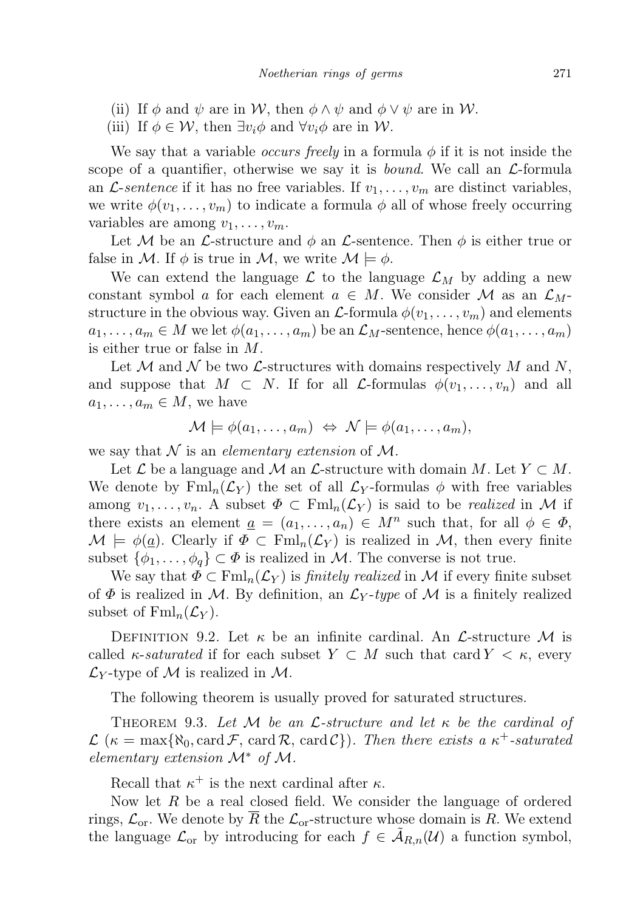- (ii) If  $\phi$  and  $\psi$  are in W, then  $\phi \wedge \psi$  and  $\phi \vee \psi$  are in W.
- (iii) If  $\phi \in \mathcal{W}$ , then  $\exists v_i \phi$  and  $\forall v_i \phi$  are in W.

We say that a variable *occurs freely* in a formula  $\phi$  if it is not inside the scope of a quantifier, otherwise we say it is *bound*. We call an  $\mathcal{L}$ -formula an *L*-sentence if it has no free variables. If  $v_1, \ldots, v_m$  are distinct variables, we write  $\phi(v_1, \ldots, v_m)$  to indicate a formula  $\phi$  all of whose freely occurring variables are among  $v_1, \ldots, v_m$ .

Let M be an L-structure and  $\phi$  an L-sentence. Then  $\phi$  is either true or false in M. If  $\phi$  is true in M, we write  $\mathcal{M} \models \phi$ .

We can extend the language  $\mathcal{L}$  to the language  $\mathcal{L}_M$  by adding a new constant symbol a for each element  $a \in M$ . We consider M as an  $\mathcal{L}_M$ structure in the obvious way. Given an  $\mathcal{L}$ -formula  $\phi(v_1, \ldots, v_m)$  and elements  $a_1, \ldots, a_m \in M$  we let  $\phi(a_1, \ldots, a_m)$  be an  $\mathcal{L}_M$ -sentence, hence  $\phi(a_1, \ldots, a_m)$ is either true or false in M.

Let M and N be two  $\mathcal{L}$ -structures with domains respectively M and N, and suppose that  $M \subset N$ . If for all *L*-formulas  $\phi(v_1, \ldots, v_n)$  and all  $a_1, \ldots, a_m \in M$ , we have

$$
\mathcal{M} \models \phi(a_1, \ldots, a_m) \Leftrightarrow \mathcal{N} \models \phi(a_1, \ldots, a_m),
$$

we say that  $\mathcal N$  is an *elementary extension* of  $\mathcal M$ .

Let  $\mathcal L$  be a language and  $\mathcal M$  an  $\mathcal L$ -structure with domain M. Let  $Y \subset M$ . We denote by  $\text{Fml}_n(\mathcal{L}_Y)$  the set of all  $\mathcal{L}_Y$ -formulas  $\phi$  with free variables among  $v_1, \ldots, v_n$ . A subset  $\Phi \subset \text{Fml}_n(\mathcal{L}_Y)$  is said to be *realized* in M if there exists an element  $\underline{a} = (a_1, \ldots, a_n) \in M^n$  such that, for all  $\phi \in \Phi$ ,  $\mathcal{M} \models \phi(\underline{a})$ . Clearly if  $\Phi \subset \text{Fml}_n(\mathcal{L}_Y)$  is realized in  $\mathcal{M}$ , then every finite subset  $\{\phi_1,\ldots,\phi_q\}\subset \Phi$  is realized in M. The converse is not true.

We say that  $\Phi \subset \text{Fml}_n(\mathcal{L}_Y)$  is *finitely realized* in M if every finite subset of  $\Phi$  is realized in M. By definition, an  $\mathcal{L}_Y$ -type of M is a finitely realized subset of  $\text{Fml}_n(\mathcal{L}_Y)$ .

DEFINITION 9.2. Let  $\kappa$  be an infinite cardinal. An  $\mathcal{L}\text{-structure }\mathcal{M}$  is called  $\kappa$ -saturated if for each subset  $Y \subset M$  such that card  $Y \subset \kappa$ , every  $\mathcal{L}_Y$ -type of M is realized in M.

The following theorem is usually proved for saturated structures.

THEOREM 9.3. Let  $M$  be an  $\mathcal{L}$ -structure and let  $\kappa$  be the cardinal of  $\mathcal{L}$  ( $\kappa = \max{\{\aleph_0, \text{card }\mathcal{F}, \text{card }\mathcal{R}, \text{card }\mathcal{C}\}}$ ). Then there exists a  $\kappa^+$ -saturated elementary extension  $\mathcal{M}^*$  of  $\mathcal{M}$ .

Recall that  $\kappa^+$  is the next cardinal after  $\kappa$ .

Now let  $R$  be a real closed field. We consider the language of ordered rings,  $\mathcal{L}_{or}$ . We denote by  $\overline{R}$  the  $\mathcal{L}_{or}$ -structure whose domain is R. We extend the language  $\mathcal{L}_{or}$  by introducing for each  $f \in \tilde{\mathcal{A}}_{R,n}(\mathcal{U})$  a function symbol,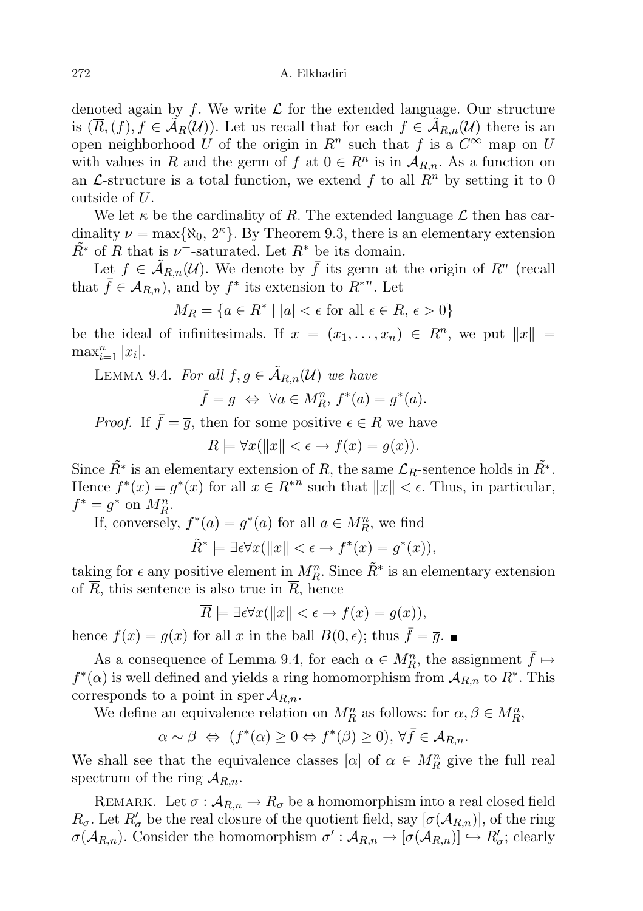denoted again by f. We write  $\mathcal L$  for the extended language. Our structure is  $(\overline{R},(f), f \in \mathcal{A}_R(\mathcal{U}))$ . Let us recall that for each  $f \in \mathcal{A}_{R,n}(\mathcal{U})$  there is an open neighborhood U of the origin in  $R^n$  such that f is a  $C^{\infty}$  map on U with values in R and the germ of f at  $0 \in R^n$  is in  $A_{R,n}$ . As a function on an  $\mathcal{L}$ -structure is a total function, we extend f to all  $R^n$  by setting it to 0 outside of U.

We let  $\kappa$  be the cardinality of R. The extended language  $\mathcal L$  then has cardinality  $\nu = \max\{\aleph_0, 2^{\kappa}\}\.$  By Theorem 9.3, there is an elementary extension  $\tilde{R}^*$  of  $\overline{R}$  that is  $\nu^+$ -saturated. Let  $R^*$  be its domain.

Let  $f \in \tilde{A}_{R,n}(\mathcal{U})$ . We denote by  $\bar{f}$  its germ at the origin of  $R^n$  (recall that  $\bar{f} \in \mathcal{A}_{R,n}$ , and by  $f^*$  its extension to  $\bar{R}^{*n}$ . Let

$$
M_R = \{ a \in R^* \mid |a| < \epsilon \text{ for all } \epsilon \in R, \, \epsilon > 0 \}
$$

be the ideal of infinitesimals. If  $x = (x_1, \ldots, x_n) \in R^n$ , we put  $||x|| =$  $\max_{i=1}^n |x_i|$ .

LEMMA 9.4. For all  $f, g \in \tilde{A}_{R,n}(\mathcal{U})$  we have

$$
\bar{f} = \bar{g} \iff \forall a \in M_R^n, f^*(a) = g^*(a).
$$

*Proof.* If  $\bar{f} = \bar{g}$ , then for some positive  $\epsilon \in R$  we have

 $\overline{R} \models \forall x (\Vert x \Vert < \epsilon \rightarrow f(x) = q(x)).$ 

Since  $\tilde{R}^*$  is an elementary extension of  $\overline{R}$ , the same  $\mathcal{L}_R$ -sentence holds in  $\tilde{R}^*$ . Hence  $f^*(x) = g^*(x)$  for all  $x \in R^{*n}$  such that  $||x|| < \epsilon$ . Thus, in particular,  $f^* = g^*$  on  $M_R^n$ .

If, conversely,  $f^*(a) = g^*(a)$  for all  $a \in M_R^n$ , we find

$$
\tilde{R}^* \models \exists \epsilon \forall x (\Vert x \Vert < \epsilon \rightarrow f^*(x) = g^*(x)),
$$

taking for  $\epsilon$  any positive element in  $M_R^n$ . Since  $\tilde{R}^*$  is an elementary extension of  $\overline{R}$ , this sentence is also true in  $\overline{R}$ , hence

$$
\overline{R} \models \exists \epsilon \forall x (\Vert x \Vert < \epsilon \rightarrow f(x) = g(x)),
$$

hence  $f(x) = g(x)$  for all x in the ball  $B(0, \epsilon)$ ; thus  $f = \overline{g}$ .

As a consequence of Lemma 9.4, for each  $\alpha \in M_R^n$ , the assignment  $\bar{f} \mapsto$  $f^*(\alpha)$  is well defined and yields a ring homomorphism from  $\mathcal{A}_{R,n}$  to  $R^*$ . This corresponds to a point in sper  $A_{R,n}$ .

We define an equivalence relation on  $M_R^n$  as follows: for  $\alpha, \beta \in M_R^n$ ,

$$
\alpha \sim \beta \iff (f^*(\alpha) \ge 0 \Leftrightarrow f^*(\beta) \ge 0), \,\forall \bar{f} \in \mathcal{A}_{R,n}.
$$

We shall see that the equivalence classes  $[\alpha]$  of  $\alpha \in M_R^n$  give the full real spectrum of the ring  $\mathcal{A}_{R,n}$ .

REMARK. Let  $\sigma : A_{R,n} \to R_{\sigma}$  be a homomorphism into a real closed field  $R_{\sigma}$ . Let  $R'_{\sigma}$  be the real closure of the quotient field, say  $[\sigma(A_{R,n})]$ , of the ring  $\sigma(A_{R,n})$ . Consider the homomorphism  $\sigma': A_{R,n} \to [\sigma(A_{R,n})] \hookrightarrow R'_{\sigma}$ ; clearly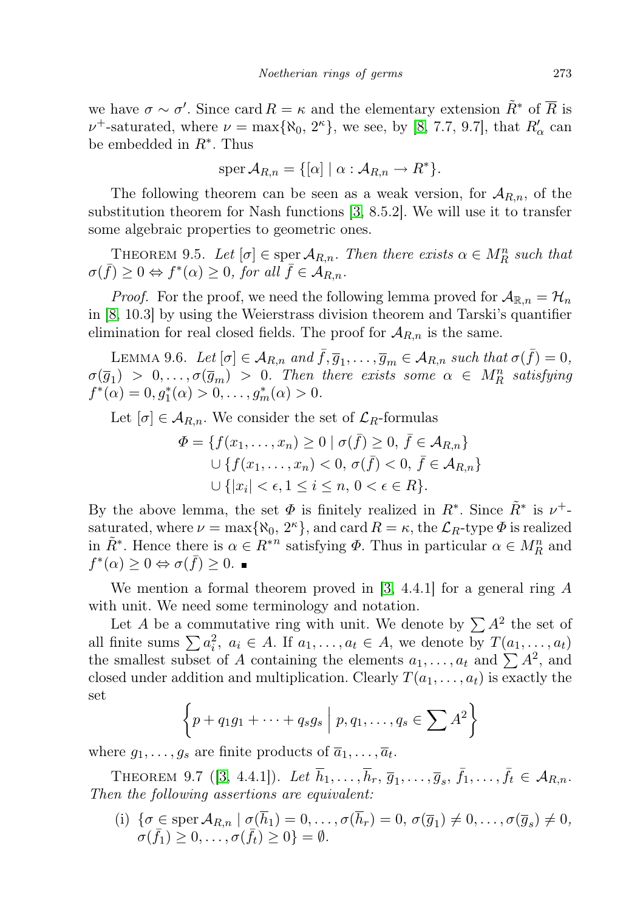we have  $\sigma \sim \sigma'$ . Since card  $R = \kappa$  and the elementary extension  $\tilde{R}^*$  of  $\overline{R}$  is  $\nu^+$ -saturated, where  $\nu = \max\{\aleph_0, 2^{\kappa}\}\,$ , we see, by [\[8,](#page-14-8) 7.7, 9.7], that  $R'_\alpha$  can be embedded in  $R^*$ . Thus

$$
sper A_{R,n} = \{ [\alpha] \mid \alpha : A_{R,n} \to R^* \}.
$$

The following theorem can be seen as a weak version, for  $A_{R,n}$ , of the substitution theorem for Nash functions [\[3,](#page-14-0) 8.5.2]. We will use it to transfer some algebraic properties to geometric ones.

THEOREM 9.5. Let  $[\sigma] \in \text{spec } A_{R,n}$ . Then there exists  $\alpha \in M_R^n$  such that  $\sigma(\bar{f}) \geq 0 \Leftrightarrow f^*(\alpha) \geq 0$ , for all  $\bar{f} \in \mathcal{A}_{R,n}$ .

*Proof.* For the proof, we need the following lemma proved for  $A_{\mathbb{R},n} = \mathcal{H}_n$ in [\[8,](#page-14-8) 10.3] by using the Weierstrass division theorem and Tarski's quantifier elimination for real closed fields. The proof for  $A_{R,n}$  is the same.

LEMMA 9.6. Let  $[\sigma] \in \mathcal{A}_{R,n}$  and  $\bar{f}, \bar{g}_1, \ldots, \bar{g}_m \in \mathcal{A}_{R,n}$  such that  $\sigma(\bar{f}) = 0$ ,  $\sigma(\overline{g}_1) > 0, \ldots, \sigma(\overline{g}_m) > 0$ . Then there exists some  $\alpha \in M_R^n$  satisfying  $f^*(\alpha) = 0, g_1^*(\alpha) > 0, \ldots, g_m^*(\alpha) > 0.$ 

Let  $[\sigma] \in \mathcal{A}_{R,n}$ . We consider the set of  $\mathcal{L}_R$ -formulas

$$
\Phi = \{ f(x_1, \dots, x_n) \ge 0 \mid \sigma(\bar{f}) \ge 0, \ \bar{f} \in \mathcal{A}_{R,n} \} \cup \{ f(x_1, \dots, x_n) < 0, \ \sigma(\bar{f}) < 0, \ \bar{f} \in \mathcal{A}_{R,n} \} \cup \{ |x_i| < \epsilon, 1 \le i \le n, \ 0 < \epsilon \in R \}.
$$

By the above lemma, the set  $\Phi$  is finitely realized in  $R^*$ . Since  $\tilde{R}^*$  is  $\nu^+$ saturated, where  $\nu = \max\{\aleph_0, 2^{\kappa}\}\$ , and card  $R = \kappa$ , the  $\mathcal{L}_R$ -type  $\Phi$  is realized in  $\tilde{R}^*$ . Hence there is  $\alpha \in R^{*n}$  satisfying  $\Phi$ . Thus in particular  $\alpha \in M_R^n$  and  $f^*(\alpha) \geq 0 \Leftrightarrow \sigma(\bar{f}) \geq 0.$ 

We mention a formal theorem proved in [\[3,](#page-14-0) 4.4.1] for a general ring A with unit. We need some terminology and notation.

Let A be a commutative ring with unit. We denote by  $\sum A^2$  the set of all finite sums  $\sum a_i^2, a_i \in A$ . If  $a_1, \ldots, a_t \in A$ , we denote by  $T(a_1, \ldots, a_t)$ the smallest subset of A containing the elements  $a_1, \ldots, a_t$  and  $\sum A^2$ , and closed under addition and multiplication. Clearly  $T(a_1, \ldots, a_t)$  is exactly the set

$$
\left\{p+q_1g_1+\cdots+q_sg_s\,\middle|\,p,q_1,\ldots,q_s\in\sum A^2\right\}
$$

where  $g_1, \ldots, g_s$  are finite products of  $\overline{a}_1, \ldots, \overline{a}_t$ .

THEOREM 9.7 ([\[3,](#page-14-0) 4.4.1]). Let  $\bar{h}_1, \ldots, \bar{h}_r, \bar{g}_1, \ldots, \bar{g}_s, \bar{f}_1, \ldots, \bar{f}_t \in A_{R,n}$ . Then the following assertions are equivalent:

(i)  $\{\sigma \in \text{sper } A_{R,n} \mid \sigma(\overline{h}_1) = 0, \ldots, \sigma(\overline{h}_r) = 0, \sigma(\overline{g}_1) \neq 0, \ldots, \sigma(\overline{g}_s) \neq 0, \ldots\}$  $\sigma(\bar{f_1}) \geq 0, \ldots, \sigma(\bar{f_t}) \geq 0$  =  $\emptyset$ .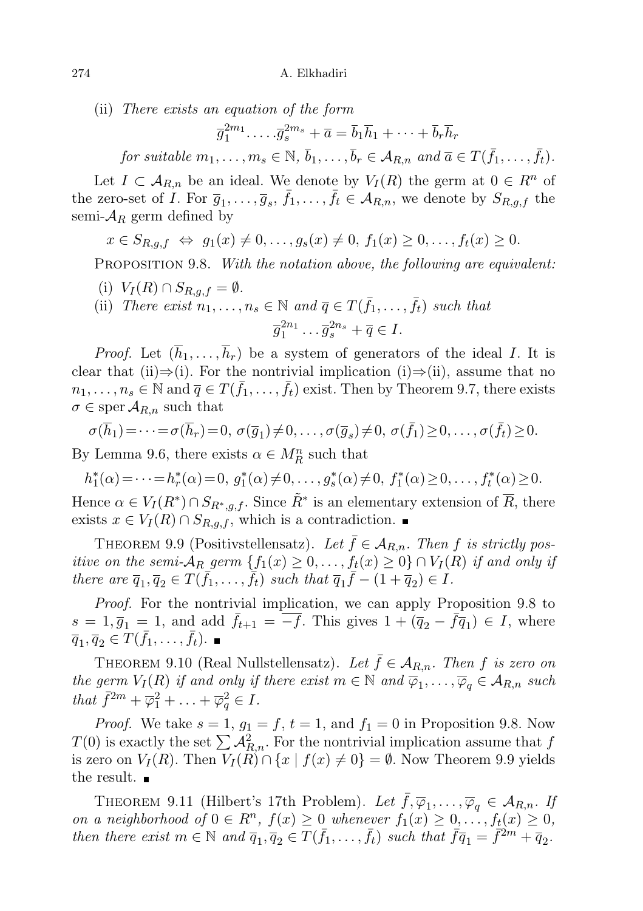(ii) There exists an equation of the form

 $\overline{g}_1^{2m_1}\ldots\overline{g}_s^{2m_s} + \overline{a} = \overline{b}_1\overline{h}_1 + \cdots + \overline{b}_r\overline{h}_r$ for suitable  $m_1, \ldots, m_s \in \mathbb{N}, \bar{b}_1, \ldots, \bar{b}_r \in A_{R,n}$  and  $\bar{a} \in T(\bar{f}_1, \ldots, \bar{f}_t)$ .

Let  $I \subset A_{R,n}$  be an ideal. We denote by  $V_I(R)$  the germ at  $0 \in R^n$  of the zero-set of I. For  $\overline{g}_1,\ldots,\overline{g}_s$ ,  $\overline{f}_1,\ldots,\overline{f}_t \in A_{R,n}$ , we denote by  $S_{R,g,f}$  the semi- $\mathcal{A}_R$  germ defined by

 $x \in S_{R,q,f} \Leftrightarrow q_1(x) \neq 0, \ldots, q_s(x) \neq 0, f_1(x) \geq 0, \ldots, f_t(x) \geq 0.$ 

PROPOSITION 9.8. With the notation above, the following are equivalent:

- (i)  $V_I(R) \cap S_{R,q,f} = \emptyset$ .
- (ii) There exist  $n_1, \ldots, n_s \in \mathbb{N}$  and  $\overline{q} \in T(\overline{f}_1, \ldots, \overline{f}_t)$  such that  $\overline{g}_1^{2n_1} \dots \overline{g}_s^{2n_s} + \overline{q} \in I.$

*Proof.* Let  $(\overline{h}_1, \ldots, \overline{h}_r)$  be a system of generators of the ideal I. It is clear that (ii)⇒(i). For the nontrivial implication (i)⇒(ii), assume that no  $n_1, \ldots, n_s \in \mathbb{N}$  and  $\overline{q} \in T(\overline{f}_1, \ldots, \overline{f}_t)$  exist. Then by Theorem 9.7, there exists  $\sigma \in \text{sper } \mathcal{A}_{R,n}$  such that

$$
\sigma(\overline{h}_1) = \cdots = \sigma(\overline{h}_r) = 0, \ \sigma(\overline{g}_1) \neq 0, \ldots, \sigma(\overline{g}_s) \neq 0, \ \sigma(\overline{f}_1) \geq 0, \ldots, \sigma(\overline{f}_t) \geq 0.
$$

By Lemma 9.6, there exists  $\alpha \in M_R^n$  such that

$$
h_1^*(\alpha) = \dots = h_r^*(\alpha) = 0, \ g_1^*(\alpha) \neq 0, \dots, g_s^*(\alpha) \neq 0, \ f_1^*(\alpha) \geq 0, \dots, f_t^*(\alpha) \geq 0.
$$

Hence  $\alpha \in V_I(R^*) \cap S_{R^*,g,f}$ . Since  $\tilde{R}^*$  is an elementary extension of  $\overline{R}$ , there exists  $x \in V_I(R) \cap S_{R,q,f}$ , which is a contradiction. ■

THEOREM 9.9 (Positivstellensatz). Let  $\bar{f} \in A_{R,n}$ . Then f is strictly positive on the semi- $\mathcal{A}_R$  germ  $\{f_1(x) \geq 0, \ldots, f_t(x) \geq 0\} \cap V_I(R)$  if and only if there are  $\overline{q}_1, \overline{q}_2 \in T(\overline{f_1}, \ldots, \overline{f_t})$  such that  $\overline{q}_1 \overline{f} - (1 + \overline{q}_2) \in I$ .

Proof. For the nontrivial implication, we can apply Proposition 9.8 to  $s = 1, \overline{g}_1 = 1$ , and add  $\overline{f}_{t+1} = \overline{-f}$ . This gives  $1 + (\overline{q}_2 - \overline{f}\overline{q}_1) \in I$ , where  $\overline{q}_1, \overline{q}_2 \in \overline{T}(\overline{f}_1, \ldots, \overline{f}_t).$ 

THEOREM 9.10 (Real Nullstellensatz). Let  $\bar{f} \in A_{R,n}$ . Then f is zero on the germ  $V_I(R)$  if and only if there exist  $m \in \mathbb{N}$  and  $\overline{\varphi}_1, \ldots, \overline{\varphi}_q \in \mathcal{A}_{R,n}$  such that  $\bar{f}^{2m} + \bar{\varphi}_1^2 + \ldots + \bar{\varphi}_q^2 \in I$ .

*Proof.* We take  $s = 1$ ,  $g_1 = f$ ,  $t = 1$ , and  $f_1 = 0$  in Proposition 9.8. Now  $T(0)$  is exactly the set  $\sum A_{R,n}^2$ . For the nontrivial implication assume that f is zero on  $V_I(R)$ . Then  $V_I(R) \cap \{x \mid f(x) \neq 0\} = \emptyset$ . Now Theorem 9.9 yields the result.  $\blacksquare$ 

THEOREM 9.11 (Hilbert's 17th Problem). Let  $\bar{f}, \overline{\varphi}_1, \ldots, \overline{\varphi}_q \in \mathcal{A}_{R,n}$ . If on a neighborhood of  $0 \in R^n$ ,  $f(x) \geq 0$  whenever  $f_1(x) \geq 0, \ldots, f_t(x) \geq 0$ , then there exist  $m \in \mathbb{N}$  and  $\overline{q}_1, \overline{q}_2 \in T(\overline{f}_1, \ldots, \overline{f}_t)$  such that  $\overline{f} \overline{q}_1 = \overline{f}^{2m} + \overline{q}_2$ .